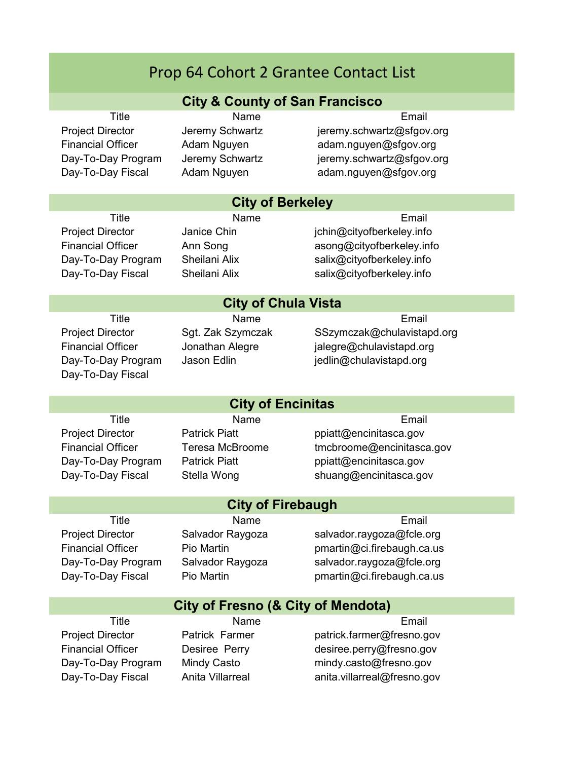## **City & County of San Francisco**

**City of Berkeley**

Title **Name** Name **Email** 

Project Director Jeremy Schwartz jeremy.schwartz@sfgov.org Financial Officer Adam Nguyen adam.nguyen@sfgov.org Day-To-Day Program Jeremy Schwartz jeremy.schwartz@sfgov.org Day-To-Day Fiscal Adam Nguyen adam.nguyen@sfgov.org

# Title **Name** Name **Email** Project Director Janice Chin **interproject Director** Janice Chin Financial Officer Ann Song asong@cityofberkeley.info

## Day-To-Day Program Sheilani Alix Salix@cityofberkeley.info Day-To-Day Fiscal Sheilani Alix Salix@cityofberkeley.info

### **City of Chula Vista**

Day-To-Day Fiscal

#### Title **Name** Name **Email** Project Director Sgt. Zak Szymczak SSzymczak @chulavistapd.org Financial Officer Jonathan Alegre jalegre@chulavistapd.org Day-To-Day Program Jason Edlin is but jedlin@chulavistapd.org

## Title **Name** Name **Email** Project Director **Patrick Piatt** ppiatt ppiatt ppiatt pencinitasca.gov Financial Officer Teresa McBroome tmcbroome@encinitasca.gov **City of Encinitas**

Day-To-Day Program Patrick Piatt phiatt ppiatt@encinitasca.gov Day-To-Day Fiscal Stella Wong shuang@encinitasca.gov

Title **Name** Name **Email** 

Project Director Salvador Raygoza salvador.raygoza@fcle.org Financial Officer Pio Martin **Propertion pmartin @ci.firebaugh.ca.us** Day-To-Day Program Salvador Raygoza salvador.raygoza@fcle.org Day-To-Day Fiscal Pio Martin **Promartion** pmartin occi.firebaugh.ca.us

## **City of Fresno (& City of Mendota)**

**City of Firebaugh**

Day-To-Day Fiscal Anita Villarreal anita.villarreal@fresno.gov

Title **Name** Name **Email** 

Project Director **Patrick Farmer** Patrick farmer patrick.farmer@fresno.gov Financial Officer **Desiree Perry desiree.perry@fresno.gov** Day-To-Day Program Mindy Casto mindy.casto@fresno.gov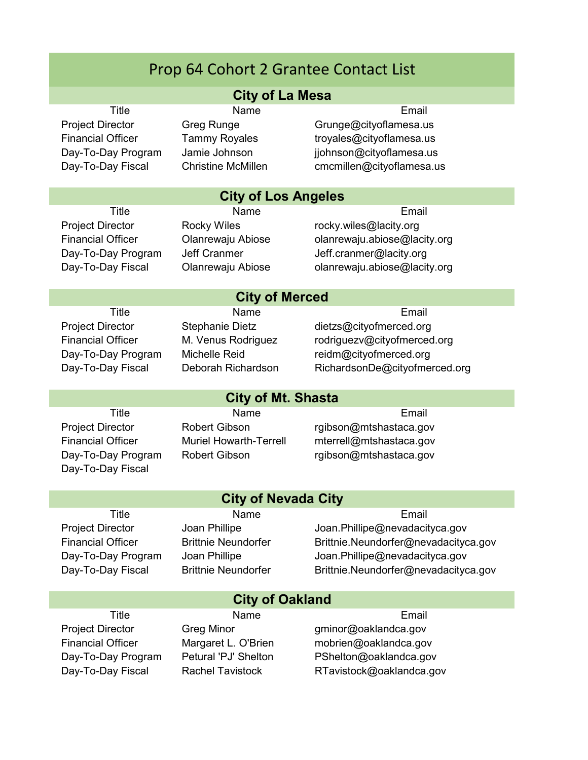#### **City of La Mesa**

Title **Name** Name **Email** Project Director Greg Runge Grunge Grunge Grunge Grunge Grunge Controllers and S Financial Officer Tammy Royales Troyales troubles troubles troubles Day-To-Day Program Jamie Johnson ijohnson@cityoflamesa.us Day-To-Day Fiscal Christine McMillen cmcmillen@cityoflamesa.us

## **City of Los Angeles**

Title **Name** Name **Email** 

Project Director **Rocky Wiles** rocky.wiles@lacity.org Financial Officer Olanrewaju Abiose olanrewaju.abiose@lacity.org Day-To-Day Program Jeff Cranmer The Jeff.cranmer@lacity.org Day-To-Day Fiscal Olanrewaju Abiose olanrewaju.abiose@lacity.org

#### **City of Merced**

Title **Name** Name **Email** 

Project Director Stephanie Dietz dietzs@cityofmerced.org Financial Officer M. Venus Rodriguez rodriguezv@cityofmerced.org Day-To-Day Program Michelle Reid reidm@cityofmerced.org Day-To-Day Fiscal Deborah Richardson RichardsonDe@cityofmerced.org

Day-To-Day Fiscal

### **City of Mt. Shasta**

**City of Nevada City**

Title **Name** Name **Email** Project Director Robert Gibson rgibson@mtshastaca.gov Financial Officer Muriel Howarth-Terrell mterrell@mtshastaca.gov Day-To-Day Program Robert Gibson rgibson@mtshastaca.gov

Title **Name** Name **Email** 

Project Director Joan Phillipe Joan.Phillipe@nevadacityca.gov Financial Officer Brittnie Neundorfer Brittnie.Neundorfer@nevadacityca.gov Day-To-Day Program Joan Phillipe Joan.Phillipe@nevadacityca.gov Day-To-Day Fiscal Brittnie Neundorfer Brittnie.Neundorfer@nevadacityca.gov

|                          | <b>City of Oakland</b>  |                          |
|--------------------------|-------------------------|--------------------------|
| Title                    | <b>Name</b>             | Email                    |
| <b>Project Director</b>  | <b>Greg Minor</b>       | gminor@oaklandca.gov     |
| <b>Financial Officer</b> | Margaret L. O'Brien     | mobrien@oaklandca.gov    |
| Day-To-Day Program       | Petural 'PJ' Shelton    | PShelton@oaklandca.gov   |
| Day-To-Day Fiscal        | <b>Rachel Tavistock</b> | RTavistock@oaklandca.gov |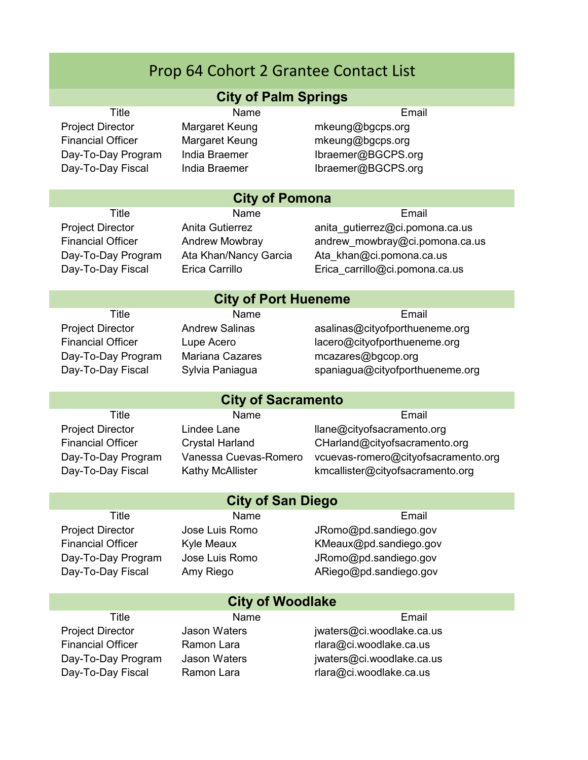#### **City of Palm Springs**

Project Director Margaret Keung mkeung@bgcps.org Financial Officer Margaret Keung mkeung@bgcps.org

Title **Name** Name **Email** 

Day-To-Day Program India Braemer **Ibraemer@BGCPS.org** Day-To-Day Fiscal India Braemer **India Braemer Ibraemer@BGCPS.org** 

## **City of Pomona**

Title **Name** Name **Email** 

Project Director **Anita Gutierrez** anita\_gutierrez@ci.pomona.ca.us Financial Officer Andrew Mowbray andrew mowbray@ci.pomona.ca.us Day-To-Day Program Ata Khan/Nancy Garcia Ata\_khan@ci.pomona.ca.us Day-To-Day Fiscal Erica Carrillo Erica carrillo@ci.pomona.ca.us

## **City of Port Hueneme**

**City of Sacramento**

Title **Name** Name **Email** 

Project Director **Andrew Salinas Andrew Salinas** asalinas@cityofporthueneme.org Financial Officer Lupe Acero **lacero@cityofporthueneme.org** Day-To-Day Program Mariana Cazares mcazares@bgcop.org Day-To-Day Fiscal Sylvia Paniagua spaniagua@cityofporthueneme.org

Title **Name** Name **Email** 

## Project Director Lindee Lane lane llane@cityofsacramento.org Financial Officer Crystal Harland CHarland @cityofsacramento.org Day-To-Day Program Vanessa Cuevas-Romero vcuevas-romero@cityofsacramento.org Day-To-Day Fiscal Kathy McAllister kmcallister@cityofsacramento.org

| <b>City of San Diego</b> |                   |                        |  |  |  |
|--------------------------|-------------------|------------------------|--|--|--|
| Title                    | Name              | Email                  |  |  |  |
| <b>Project Director</b>  | Jose Luis Romo    | JRomo@pd.sandiego.gov  |  |  |  |
| <b>Financial Officer</b> | <b>Kyle Meaux</b> | KMeaux@pd.sandiego.gov |  |  |  |
| Day-To-Day Program       | Jose Luis Romo    | JRomo@pd.sandiego.gov  |  |  |  |
| Day-To-Day Fiscal        | Amy Riego         | ARiego@pd.sandiego.gov |  |  |  |
|                          |                   |                        |  |  |  |
| City of Woodlake         |                   |                        |  |  |  |

| <b>City of Woodlake</b>  |                     |                           |  |
|--------------------------|---------------------|---------------------------|--|
| Title                    | <b>Name</b>         | Fmail                     |  |
| <b>Project Director</b>  | <b>Jason Waters</b> | jwaters@ci.woodlake.ca.us |  |
| <b>Financial Officer</b> | Ramon Lara          | rlara@ci.woodlake.ca.us   |  |
| Day-To-Day Program       | <b>Jason Waters</b> | jwaters@ci.woodlake.ca.us |  |
| Day-To-Day Fiscal        | Ramon Lara          | rlara@ci.woodlake.ca.us   |  |